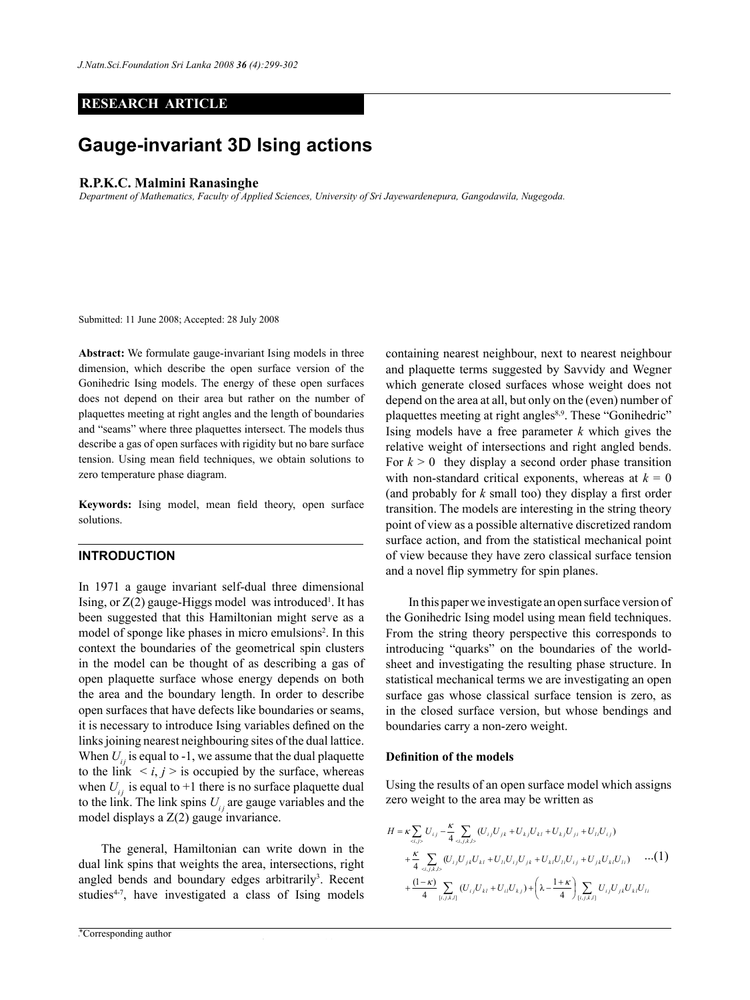## **RESEARCH ARTICLE**

# **Gauge-invariant 3D Ising actions**

## **R.P.K.C. Malmini Ranasinghe**

*Department of Mathematics, Faculty of Applied Sciences, University of Sri Jayewardenepura, Gangodawila, Nugegoda.*

Submitted: 11 June 2008; Accepted: 28 July 2008

**Abstract:** We formulate gauge-invariant Ising models in three dimension, which describe the open surface version of the Gonihedric Ising models. The energy of these open surfaces does not depend on their area but rather on the number of plaquettes meeting at right angles and the length of boundaries and "seams" where three plaquettes intersect. The models thus describe a gas of open surfaces with rigidity but no bare surface tension. Using mean field techniques, we obtain solutions to zero temperature phase diagram.

**Keywords:** Ising model, mean field theory, open surface solutions.

## **Introduction**

In 1971 a gauge invariant self-dual three dimensional Ising, or  $Z(2)$  gauge-Higgs model was introduced<sup>1</sup>. It has been suggested that this Hamiltonian might serve as a model of sponge like phases in micro emulsions<sup>2</sup>. In this context the boundaries of the geometrical spin clusters in the model can be thought of as describing a gas of open plaquette surface whose energy depends on both the area and the boundary length. In order to describe open surfaces that have defects like boundaries or seams, it is necessary to introduce Ising variables defined on the links joining nearest neighbouring sites of the dual lattice. When  $U_i$  is equal to -1, we assume that the dual plaquette to the link  $\langle i, j \rangle$  is occupied by the surface, whereas when  $U_{ij}$  is equal to +1 there is no surface plaquette dual to the link. The link spins  $U_{ij}$  are gauge variables and the model displays a Z(2) gauge invariance.

The general, Hamiltonian can write down in the dual link spins that weights the area, intersections, right angled bends and boundary edges arbitrarily<sup>3</sup>. Recent studies<sup>4-7</sup>, have investigated a class of Ising models

*Journal of the National Science Foundation of Sri Lanka 36 (4) December 2008* \*Corresponding author

containing nearest neighbour, next to nearest neighbour and plaquette terms suggested by Savvidy and Wegner which generate closed surfaces whose weight does not depend on the area at all, but only on the (even) number of plaquettes meeting at right angles<sup>8,9</sup>. These "Gonihedric" Ising models have a free parameter *k* which gives the relative weight of intersections and right angled bends. For  $k > 0$  they display a second order phase transition with non-standard critical exponents, whereas at  $k = 0$ (and probably for *k* small too) they display a first order transition. The models are interesting in the string theory point of view as a possible alternative discretized random surface action, and from the statistical mechanical point of view because they have zero classical surface tension and a novel flip symmetry for spin planes.

In this paper we investigate an open surface version of the Gonihedric Ising model using mean field techniques. From the string theory perspective this corresponds to introducing "quarks" on the boundaries of the worldsheet and investigating the resulting phase structure. In statistical mechanical terms we are investigating an open surface gas whose classical surface tension is zero, as in the closed surface version, but whose bendings and boundaries carry a non-zero weight.

#### **Definition of the models**

Using the results of an open surface model which assigns zero weight to the area may be written as

$$
H = \kappa \sum_{\alpha_{i,j>b}} U_{ij} - \frac{\kappa}{4} \sum_{\alpha_{i,j,k,l>b}} (U_{ij}U_{jk} + U_{kj}U_{kl} + U_{kj}U_{ji} + U_{il}U_{ij})
$$
  
+ 
$$
\frac{\kappa}{4} \sum_{\alpha_{i,j,k,l>b}} (U_{ij}U_{jk}U_{kl} + U_{il}U_{ij}U_{jk} + U_{kl}U_{il}U_{ij} + U_{jk}U_{kl}U_{li}) \qquad \cdots (1)
$$
  
+ 
$$
\frac{(1-\kappa)}{4} \sum_{[i,j,k,l]} (U_{ij}U_{kl} + U_{il}U_{kj}) + \left(\lambda - \frac{1+\kappa}{4}\right) \sum_{[i,j,k,l]} U_{ij}U_{jk}U_{kl}U_{li}
$$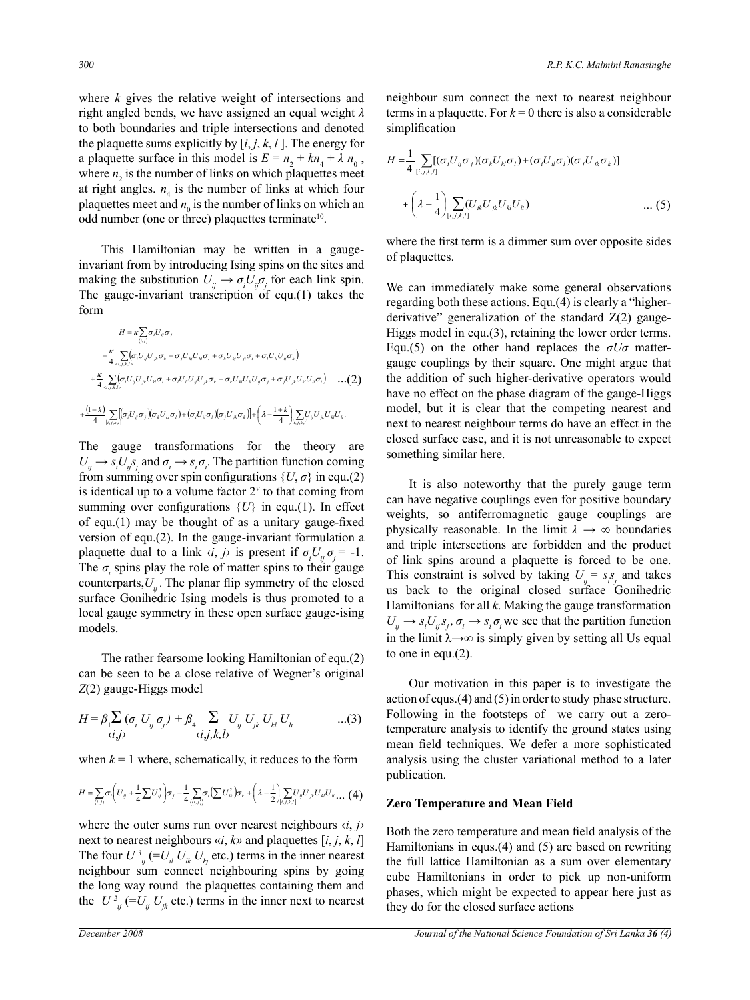where *k* gives the relative weight of intersections and right angled bends, we have assigned an equal weight *λ* to both boundaries and triple intersections and denoted the plaquette sums explicitly by  $[i, j, k, l]$ . The energy for a plaquette surface in this model is  $E = n_2 + kn_4 + \lambda n_0$ , where  $n_2$  is the number of links on which plaquettes meet at right angles.  $n_4$  is the number of links at which four plaquettes meet and  $n_0$  is the number of links on which an odd number (one or three) plaquettes terminate10.

This Hamiltonian may be written in a gaugeinvariant from by introducing Ising spins on the sites and making the substitution  $U_{ij} \rightarrow \sigma_i U_{ij} \sigma_j$  for each link spin. The gauge-invariant transcription of equ.(1) takes the form

$$
H = \kappa \sum_{(i,j)} \sigma_i U_{ij} \sigma_j
$$
  
\n
$$
- \frac{\kappa}{4} \sum_{\alpha,j,k,l>} (\sigma_i U_{ij} U_{jk} \sigma_k + \sigma_j U_{kj} U_{kl} \sigma_l + \sigma_k U_{ij} U_{jl} \sigma_l + \sigma_l U_{il} U_{ij} \sigma_k)
$$
  
\n
$$
+ \frac{\kappa}{4} \sum_{\alpha,j,k,l>} (\sigma_i U_{ij} U_{jk} U_{kl} \sigma_l + \sigma_l U_{il} U_{ij} U_{jk} \sigma_k + \sigma_k U_{il} U_{il} U_{ij} \sigma_j + \sigma_j U_{jk} U_{kl} U_{il} \sigma_l) \dots (2)
$$
  
\n
$$
+ \frac{(1-k)}{4} \sum_{[i,j,k,l]} [\sigma_i U_{ij} \sigma_j) (\sigma_k U_{kl} \sigma_l) + (\sigma_i U_{il} \sigma_i) (\sigma_j U_{jk} \sigma_k)] + \left(\lambda - \frac{1+k}{4} \sum_{[i,j,k,l]} U_{jl} U_{ik} U_{il}.
$$

The gauge transformations for the theory are  $U_{ij} \rightarrow s_i U_{ij} s_j$  and  $\sigma_i \rightarrow s_i \sigma_i$ . The partition function coming from summing over spin configurations  $\{U, \sigma\}$  in equ.(2) is identical up to a volume factor  $2^v$  to that coming from summing over configurations  $\{U\}$  in equ.(1). In effect of equ.(1) may be thought of as a unitary gauge-fixed version of equ.(2). In the gauge-invariant formulation a plaquette dual to a link  $\langle i, j \rangle$  is present if  $\sigma_i U_{ij} \sigma_j = -1$ . The  $\sigma$ <sub>*i*</sub> spins play the role of matter spins to their gauge counterparts, $U_{ii}$ . The planar flip symmetry of the closed surface Gonihedric Ising models is thus promoted to a local gauge symmetry in these open surface gauge-ising models.

The rather fearsome looking Hamiltonian of equ.(2) can be seen to be a close relative of Wegner's original *Z*(2) gauge-Higgs model

$$
H = \beta_1 \sum_{\langle i,j \rangle} (\sigma_i U_{ij} \sigma_j) + \beta_4 \sum_{\langle i,j,k,l \rangle} U_{ij} U_{jk} U_{kl} U_{li} \qquad \qquad ...(3)
$$

when  $k = 1$  where, schematically, it reduces to the form

$$
H = \sum_{\langle i,j \rangle} \sigma_i \left( U_{ij} + \frac{1}{4} \sum U_{ij}^3 \right) \sigma_j - \frac{1}{4} \sum_{\langle \langle i,j \rangle \rangle} \sigma_i \left( \sum U_{ik}^2 \right) \sigma_k + \left( \lambda - \frac{1}{2} \right) \sum_{\langle i,j,k,l \rangle} U_{ij} U_{jk} U_{kl} U_{kl} \dots (4)
$$

where the outer sums run over nearest neighbours  $\langle i, j \rangle$ next to nearest neighbours «*i*, *k»* and plaquettes [*i*, *j*, *k*, *l*] The four  $U^3_{ij}$  (= $U_{il}$   $U_{lk}$   $U_{kj}$  etc.) terms in the inner nearest neighbour sum connect neighbouring spins by going the long way round the plaquettes containing them and the  $U_{ij}^2$  (= $U_{ij}$   $U_{jk}$  etc.) terms in the inner next to nearest neighbour sum connect the next to nearest neighbour terms in a plaquette. For  $k = 0$  there is also a considerable simplification

$$
H = \frac{1}{4} \sum_{[i,j,k,l]} [(\sigma_i U_{ij} \sigma_j)(\sigma_k U_{kl} \sigma_l) + (\sigma_i U_{il} \sigma_l)(\sigma_j U_{jk} \sigma_k)]
$$
  
+ 
$$
\left(\lambda - \frac{1}{4}\right) \sum_{[i,j,k,l]} (U_{ik} U_{jk} U_{kl} U_{li}) \qquad \qquad \dots (5)
$$

where the first term is a dimmer sum over opposite sides of plaquettes.

We can immediately make some general observations regarding both these actions. Equ.(4) is clearly a "higherderivative" generalization of the standard  $Z(2)$  gauge-Higgs model in equ.(3), retaining the lower order terms. Equ.(5) on the other hand replaces the  $\sigma U\sigma$  mattergauge couplings by their square. One might argue that the addition of such higher-derivative operators would have no effect on the phase diagram of the gauge-Higgs model, but it is clear that the competing nearest and next to nearest neighbour terms do have an effect in the closed surface case, and it is not unreasonable to expect something similar here.

It is also noteworthy that the purely gauge term can have negative couplings even for positive boundary weights, so antiferromagnetic gauge couplings are physically reasonable. In the limit  $\lambda \rightarrow \infty$  boundaries and triple intersections are forbidden and the product of link spins around a plaquette is forced to be one. This constraint is solved by taking  $U_{ij} = s_i s_j$  and takes us back to the original closed surface Gonihedric Hamiltonians for all *k*. Making the gauge transformation  $U_{ij} \rightarrow s_i U_{ij} s_j$ ,  $\sigma_i \rightarrow s_i \sigma_i$  we see that the partition function in the limit  $\lambda \rightarrow \infty$  is simply given by setting all Us equal to one in equ.(2).

Our motivation in this paper is to investigate the action of equs.(4) and (5) in order to study phase structure. Following in the footsteps of we carry out a zerotemperature analysis to identify the ground states using mean field techniques. We defer a more sophisticated analysis using the cluster variational method to a later publication.

#### **Zero Temperature and Mean Field**

Both the zero temperature and mean field analysis of the Hamiltonians in equs.(4) and (5) are based on rewriting the full lattice Hamiltonian as a sum over elementary cube Hamiltonians in order to pick up non-uniform phases, which might be expected to appear here just as they do for the closed surface actions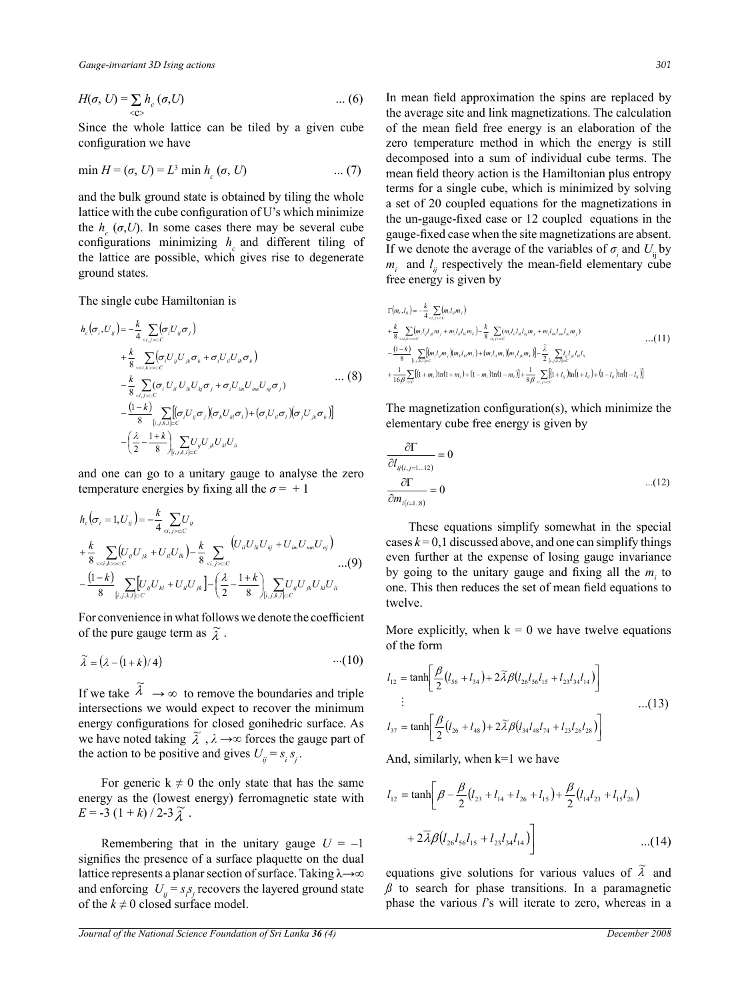$$
H(\sigma, U) = \sum_{} h_c(\sigma, U) \qquad \qquad \dots (6)
$$

Since the whole lattice can be tiled by a given cube configuration we have

$$
\min H = (\sigma, U) = L^3 \min h_c (\sigma, U) \quad ... (7)
$$

and the bulk ground state is obtained by tiling the whole lattice with the cube configuration of U's which minimize the  $h_c(\sigma, U)$ . In some cases there may be several cube configurations minimizing  $h_c$  and different tiling of the lattice are possible, which gives rise to degenerate ground states.

The single cube Hamiltonian is

$$
h_{c}(\sigma_{i},U_{ij}) = -\frac{k}{4} \sum_{\alpha_{i},j\sim c} (\sigma_{i}U_{ij}\sigma_{j})
$$
  
+ 
$$
\frac{k}{8} \sum_{\alpha_{i},k\sim c} (\sigma_{i}U_{ij}U_{jk}\sigma_{k} + \sigma_{i}U_{il}U_{ik}\sigma_{k})
$$
  
- 
$$
\frac{k}{8} \sum_{\alpha_{i},j\sim c} (\sigma_{i}U_{il}U_{ik}U_{kj}\sigma_{j} + \sigma_{i}U_{im}U_{im}U_{ij}\sigma_{j}) \cdots (8)
$$
  
- 
$$
\frac{(1-k)}{8} \sum_{\{i,j,k,l\} \subset C} [(\sigma_{i}U_{ij}\sigma_{j})(\sigma_{k}U_{kl}\sigma_{l}) + (\sigma_{i}U_{il}\sigma_{l})(\sigma_{j}U_{jk}\sigma_{k})]
$$
  
- 
$$
\left(\frac{\lambda}{2} - \frac{1+k}{8}\right) \sum_{\{i,j,k,l\} \subset C} U_{ij}U_{jk}U_{kl}U_{li}
$$

and one can go to a unitary gauge to analyse the zero temperature energies by fixing all the  $\sigma = +1$ 

$$
h_c(\sigma_i = 1, U_{ij}) = -\frac{k}{4} \sum_{l,j,l,l \subset C} U_{ij}
$$
  
+  $\frac{k}{8} \sum_{l,l,k \to C} (U_{ij}U_{jk} + U_{il}U_{lk}) - \frac{k}{8} \sum_{l,j,l \subset C} (U_{il}U_{lk}U_{kj} + U_{im}U_{mn}U_{nj})$   
-  $\frac{(1-k)}{8} \sum_{[i,j,k,l] \subset C} [U_{ij}U_{kl} + U_{il}U_{jk}] - (\frac{\lambda}{2} - \frac{1+k}{8}) \sum_{[i,j,k,l] \subset C} U_{ij}U_{jk}U_{kl}U_{li}$  (9)

For convenience in what follows we denote the coefficient of the pure gauge term as  $\tilde{\lambda}$ .

$$
\widetilde{\lambda} = (\lambda - (1 + k)/4) \qquad \qquad \cdots (10)
$$

If we take  $\tilde{\lambda} \rightarrow \infty$  to remove the boundaries and triple intersections we would expect to recover the minimum energy configurations for closed gonihedric surface. As we have noted taking  $\tilde{\lambda}$ ,  $\lambda \rightarrow \infty$  forces the gauge part of the action to be positive and gives  $U_{ij} = s_i s_j$ .

For generic  $k \neq 0$  the only state that has the same energy as the (lowest energy) ferromagnetic state with  $E = -3 (1 + k) / 2 - 3 \tilde{\lambda}$ .

signifies the presence of a surface plaquette on the dual lattice represents a planar section of surface. Taking λ→∞ and enforcing  $U_{ij} = s_i s_j$  recovers the layered ground state of the  $k \neq 0$  closed surface model.

In mean field approximation the spins are replaced by the average site and link magnetizations. The calculation of the mean field free energy is an elaboration of the zero temperature method in which the energy is still decomposed into a sum of individual cube terms. The mean field theory action is the Hamiltonian plus entropy terms for a single cube, which is minimized by solving a set of 20 coupled equations for the magnetizations in the un-gauge-fixed case or 12 coupled equations in the gauge-fixed case when the site magnetizations are absent. If we denote the average of the variables of  $\sigma_i$  and  $U_{ij}$  by  $m_i$  and  $l_{ij}$  respectively the mean-field elementary cube free energy is given by

$$
\Gamma(m_{i},l_{y}) = -\frac{k}{4} \sum_{d_{i,j}b=c} (m_{i}l_{y}m_{j})
$$
\n+  $\frac{k}{8} \sum_{d_{i,j}b=c} (m_{i}l_{y}l_{x}m_{j} + m_{i}l_{u}l_{x}m_{k}) - \frac{k}{8} \sum_{d_{i,j}b=c} (m_{i}l_{u}l_{x}l_{x}m_{y} + m_{i}l_{m}l_{x}m_{u}m_{j})$ ...(11)  
\n-  $\frac{(1-k)}{8} \sum_{l_{i,j},k,l=c} [(m_{i}l_{y}m_{j})m_{x}l_{x}m_{l}) + (m_{i}l_{y}m_{i})m_{i}l_{x}m_{k}] - \frac{\tilde{\lambda}}{2} \sum_{l_{i,j},k,l=c} l_{u}l_{x}l_{x}l_{u}l_{x}$   
\n+  $\frac{1}{16} \sum_{b=c} [(1+m_{i})\ln(1+m_{i}) + (1-m_{i})\ln(1-m_{i})] + \frac{1}{8} \sum_{d_{i,j}} \sum_{l_{i,j}b=c} [l_{i}l_{y}j_{m}(1+l_{y}) + (1-l_{y})\ln(1-l_{y})]$ 

The magnetization configuration(s), which minimize the elementary cube free energy is given by

$$
\frac{\partial \Gamma}{\partial l_{ij(i,j=1...12)}} = 0
$$
  

$$
\frac{\partial \Gamma}{\partial m_{i(i=1..8)}} = 0
$$
...(12)

These equations simplify somewhat in the special cases  $k = 0,1$  discussed above, and one can simplify things even further at the expense of losing gauge invariance by going to the unitary gauge and fixing all the  $m<sub>i</sub>$  to one. This then reduces the set of mean field equations to twelve.

More explicitly, when  $k = 0$  we have twelve equations of the form

$$
l_{12} = \tanh\left[\frac{\beta}{2}(l_{56} + l_{34}) + 2\tilde{\lambda}\beta(l_{26}l_{56}l_{15} + l_{23}l_{34}l_{14})\right]
$$
  
 
$$
\vdots \qquad ...(13)
$$
  

$$
l_{37} = \tanh\left[\frac{\beta}{2}(l_{26} + l_{48}) + 2\tilde{\lambda}\beta(l_{34}l_{48}l_{74} + l_{23}l_{26}l_{28})\right]
$$

And, similarly, when k=1 we have

For generic 
$$
k \neq 0
$$
 the only state that has the same  
gy as the (lowest energy) ferromagnetic state with  

$$
l_{12} = \tanh \left[ \beta - \frac{\beta}{2} (l_{23} + l_{14} + l_{26} + l_{15}) + \frac{\beta}{2} (l_{14}l_{23} + l_{15}l_{26}) \right]
$$

$$
-3 (1 + k)/2 - 3 \tilde{\lambda}.
$$
  
Remembering that in the unitary gauge  $U = -1$ 
$$
+ 2 \bar{\lambda} \beta (l_{26}l_{56}l_{15} + l_{23}l_{34}l_{14})
$$
...(14)

equations give solutions for various values of  $\tilde{\lambda}$  and  $\beta$  to search for phase transitions. In a paramagnetic phase the various *l*'s will iterate to zero, whereas in a

*Journal of the National Science Foundation of Sri Lanka 36 (4) December 2008*